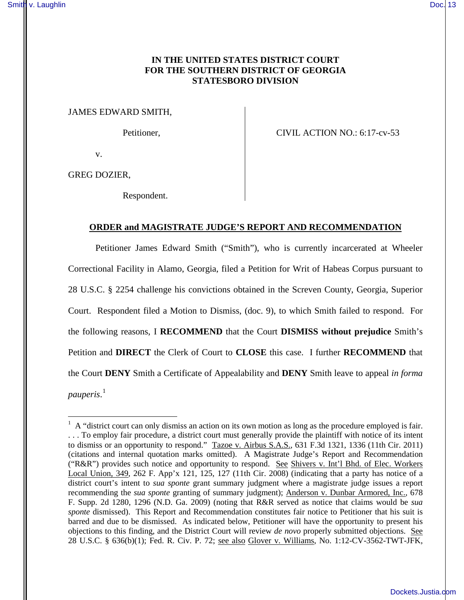# **IN THE UNITED STATES DISTRICT COURT FOR THE SOUTHERN DISTRICT OF GEORGIA STATESBORO DIVISION**

JAMES EDWARD SMITH,

Petitioner, CIVIL ACTION NO.: 6:17-cv-53

v.

GREG DOZIER,

 $\overline{a}$ 

Respondent.

## **ORDER and MAGISTRATE JUDGE'S REPORT AND RECOMMENDATION**

Petitioner James Edward Smith ("Smith"), who is currently incarcerated at Wheeler Correctional Facility in Alamo, Georgia, filed a Petition for Writ of Habeas Corpus pursuant to 28 U.S.C. § 2254 challenge his convictions obtained in the Screven County, Georgia, Superior Court. Respondent filed a Motion to Dismiss, (doc. 9), to which Smith failed to respond. For the following reasons, I **RECOMMEND** that the Court **DISMISS without prejudice** Smith's Petition and **DIRECT** the Clerk of Court to **CLOSE** this case. I further **RECOMMEND** that the Court **DENY** Smith a Certificate of Appealability and **DENY** Smith leave to appeal *in forma pauperis*. 1

 $<sup>1</sup>$  A "district court can only dismiss an action on its own motion as long as the procedure employed is fair.</sup> . . . To employ fair procedure, a district court must generally provide the plaintiff with notice of its intent to dismiss or an opportunity to respond." Tazoe v. Airbus S.A.S., 631 F.3d 1321, 1336 (11th Cir. 2011) (citations and internal quotation marks omitted). A Magistrate Judge's Report and Recommendation ("R&R") provides such notice and opportunity to respond. See Shivers v. Int'l Bhd. of Elec. Workers Local Union, 349, 262 F. App'x 121, 125, 127 (11th Cir. 2008) (indicating that a party has notice of a district court's intent to *sua sponte* grant summary judgment where a magistrate judge issues a report recommending the *sua sponte* granting of summary judgment); Anderson v. Dunbar Armored, Inc., 678 F. Supp. 2d 1280, 1296 (N.D. Ga. 2009) (noting that R&R served as notice that claims would be *sua sponte* dismissed). This Report and Recommendation constitutes fair notice to Petitioner that his suit is barred and due to be dismissed. As indicated below, Petitioner will have the opportunity to present his objections to this finding, and the District Court will review *de novo* properly submitted objections. See 28 U.S.C. § 636(b)(1); Fed. R. Civ. P. 72; see also Glover v. Williams, No. 1:12-CV-3562-TWT-JFK,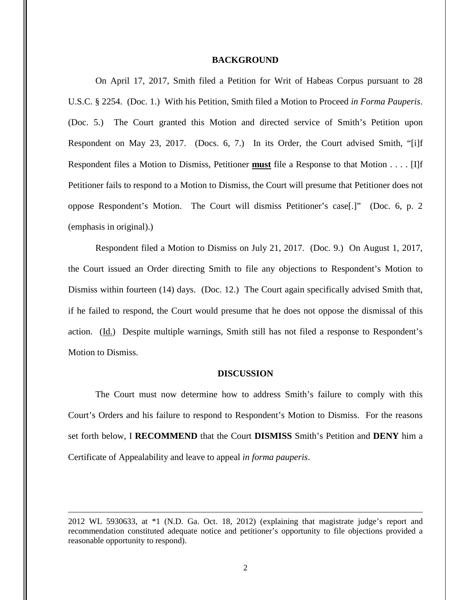### **BACKGROUND**

On April 17, 2017, Smith filed a Petition for Writ of Habeas Corpus pursuant to 28 U.S.C. § 2254. (Doc. 1.) With his Petition, Smith filed a Motion to Proceed *in Forma Pauperis*. (Doc. 5.) The Court granted this Motion and directed service of Smith's Petition upon Respondent on May 23, 2017. (Docs. 6, 7.) In its Order, the Court advised Smith, "[i]f Respondent files a Motion to Dismiss, Petitioner **must** file a Response to that Motion . . . . [I]f Petitioner fails to respond to a Motion to Dismiss, the Court will presume that Petitioner does not oppose Respondent's Motion. The Court will dismiss Petitioner's case[.]" (Doc. 6, p. 2 (emphasis in original).)

Respondent filed a Motion to Dismiss on July 21, 2017. (Doc. 9.) On August 1, 2017, the Court issued an Order directing Smith to file any objections to Respondent's Motion to Dismiss within fourteen (14) days. (Doc. 12.) The Court again specifically advised Smith that, if he failed to respond, the Court would presume that he does not oppose the dismissal of this action. (Id.) Despite multiple warnings, Smith still has not filed a response to Respondent's Motion to Dismiss.

#### **DISCUSSION**

The Court must now determine how to address Smith's failure to comply with this Court's Orders and his failure to respond to Respondent's Motion to Dismiss. For the reasons set forth below, I **RECOMMEND** that the Court **DISMISS** Smith's Petition and **DENY** him a Certificate of Appealability and leave to appeal *in forma pauperis*.

<u>.</u>

<sup>2012</sup> WL 5930633, at \*1 (N.D. Ga. Oct. 18, 2012) (explaining that magistrate judge's report and recommendation constituted adequate notice and petitioner's opportunity to file objections provided a reasonable opportunity to respond).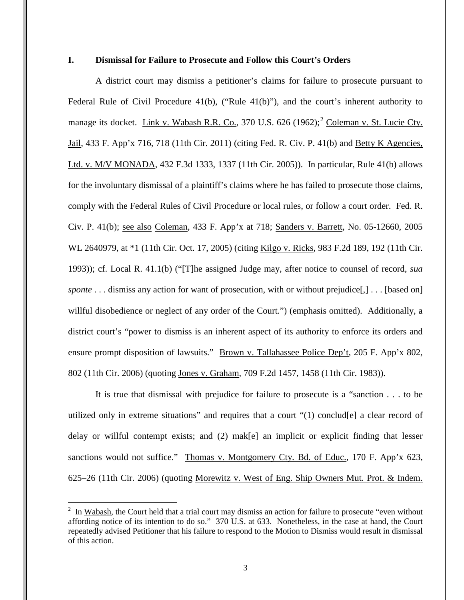## **I. Dismissal for Failure to Prosecute and Follow this Court's Orders**

A district court may dismiss a petitioner's claims for failure to prosecute pursuant to Federal Rule of Civil Procedure 41(b), ("Rule 41(b)"), and the court's inherent authority to manage its docket. Link v. Wabash R.R. Co., 370 U.S. 626 (1962);<sup>2</sup> Coleman v. St. Lucie Cty. Jail, 433 F. App'x 716, 718 (11th Cir. 2011) (citing Fed. R. Civ. P. 41(b) and Betty K Agencies, Ltd. v. M/V MONADA, 432 F.3d 1333, 1337 (11th Cir. 2005)). In particular, Rule 41(b) allows for the involuntary dismissal of a plaintiff's claims where he has failed to prosecute those claims, comply with the Federal Rules of Civil Procedure or local rules, or follow a court order. Fed. R. Civ. P. 41(b); see also Coleman, 433 F. App'x at 718; Sanders v. Barrett, No. 05-12660, 2005 WL 2640979, at \*1 (11th Cir. Oct. 17, 2005) (citing Kilgo v. Ricks, 983 F.2d 189, 192 (11th Cir. 1993)); cf. Local R. 41.1(b) ("[T]he assigned Judge may, after notice to counsel of record, *sua sponte* . . . dismiss any action for want of prosecution, with or without prejudice[,] . . . [based on] willful disobedience or neglect of any order of the Court.") (emphasis omitted). Additionally, a district court's "power to dismiss is an inherent aspect of its authority to enforce its orders and ensure prompt disposition of lawsuits." <u>Brown v. Tallahassee Police Dep't</u>, 205 F. App'x 802, 802 (11th Cir. 2006) (quoting Jones v. Graham, 709 F.2d 1457, 1458 (11th Cir. 1983)).

It is true that dismissal with prejudice for failure to prosecute is a "sanction . . . to be utilized only in extreme situations" and requires that a court "(1) conclud[e] a clear record of delay or willful contempt exists; and (2) mak[e] an implicit or explicit finding that lesser sanctions would not suffice." Thomas v. Montgomery Cty. Bd. of Educ., 170 F. App'x 623, 625–26 (11th Cir. 2006) (quoting Morewitz v. West of Eng. Ship Owners Mut. Prot. & Indem.

 $\overline{a}$ 

 $2 \text{ In } \underline{\text{Wabash}}$ , the Court held that a trial court may dismiss an action for failure to prosecute "even without affording notice of its intention to do so." 370 U.S. at 633. Nonetheless, in the case at hand, the Court repeatedly advised Petitioner that his failure to respond to the Motion to Dismiss would result in dismissal of this action.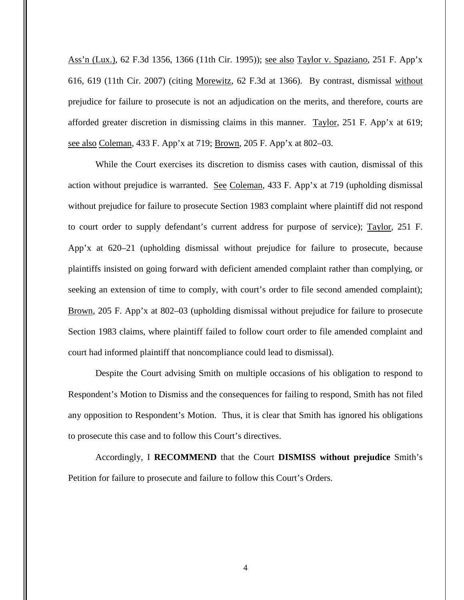Ass'n (Lux.), 62 F.3d 1356, 1366 (11th Cir. 1995)); see also Taylor v. Spaziano, 251 F. App'x 616, 619 (11th Cir. 2007) (citing Morewitz, 62 F.3d at 1366). By contrast, dismissal without prejudice for failure to prosecute is not an adjudication on the merits, and therefore, courts are afforded greater discretion in dismissing claims in this manner. Taylor, 251 F. App'x at 619; see also Coleman, 433 F. App'x at 719; Brown, 205 F. App'x at 802–03.

While the Court exercises its discretion to dismiss cases with caution, dismissal of this action without prejudice is warranted. See Coleman, 433 F. App'x at 719 (upholding dismissal without prejudice for failure to prosecute Section 1983 complaint where plaintiff did not respond to court order to supply defendant's current address for purpose of service); Taylor, 251 F. App'x at 620–21 (upholding dismissal without prejudice for failure to prosecute, because plaintiffs insisted on going forward with deficient amended complaint rather than complying, or seeking an extension of time to comply, with court's order to file second amended complaint); Brown, 205 F. App'x at 802–03 (upholding dismissal without prejudice for failure to prosecute Section 1983 claims, where plaintiff failed to follow court order to file amended complaint and court had informed plaintiff that noncompliance could lead to dismissal).

Despite the Court advising Smith on multiple occasions of his obligation to respond to Respondent's Motion to Dismiss and the consequences for failing to respond, Smith has not filed any opposition to Respondent's Motion. Thus, it is clear that Smith has ignored his obligations to prosecute this case and to follow this Court's directives.

Accordingly, I **RECOMMEND** that the Court **DISMISS without prejudice** Smith's Petition for failure to prosecute and failure to follow this Court's Orders.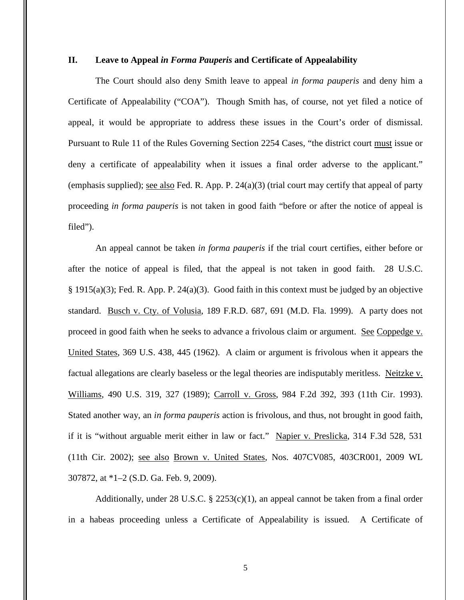# **II. Leave to Appeal** *in Forma Pauperis* **and Certificate of Appealability**

The Court should also deny Smith leave to appeal *in forma pauperis* and deny him a Certificate of Appealability ("COA"). Though Smith has, of course, not yet filed a notice of appeal, it would be appropriate to address these issues in the Court's order of dismissal. Pursuant to Rule 11 of the Rules Governing Section 2254 Cases, "the district court must issue or deny a certificate of appealability when it issues a final order adverse to the applicant." (emphasis supplied); see also Fed. R. App. P. 24(a)(3) (trial court may certify that appeal of party proceeding *in forma pauperis* is not taken in good faith "before or after the notice of appeal is filed").

An appeal cannot be taken *in forma pauperis* if the trial court certifies, either before or after the notice of appeal is filed, that the appeal is not taken in good faith. 28 U.S.C. § 1915(a)(3); Fed. R. App. P. 24(a)(3). Good faith in this context must be judged by an objective standard. Busch v. Cty. of Volusia, 189 F.R.D. 687, 691 (M.D. Fla. 1999). A party does not proceed in good faith when he seeks to advance a frivolous claim or argument. See Coppedge v. United States, 369 U.S. 438, 445 (1962). A claim or argument is frivolous when it appears the factual allegations are clearly baseless or the legal theories are indisputably meritless. Neitzke v. Williams, 490 U.S. 319, 327 (1989); Carroll v. Gross, 984 F.2d 392, 393 (11th Cir. 1993). Stated another way, an *in forma pauperis* action is frivolous, and thus, not brought in good faith, if it is "without arguable merit either in law or fact." Napier v. Preslicka, 314 F.3d 528, 531 (11th Cir. 2002); see also Brown v. United States, Nos. 407CV085, 403CR001, 2009 WL 307872, at \*1–2 (S.D. Ga. Feb. 9, 2009).

Additionally, under 28 U.S.C.  $\S$  2253(c)(1), an appeal cannot be taken from a final order in a habeas proceeding unless a Certificate of Appealability is issued. A Certificate of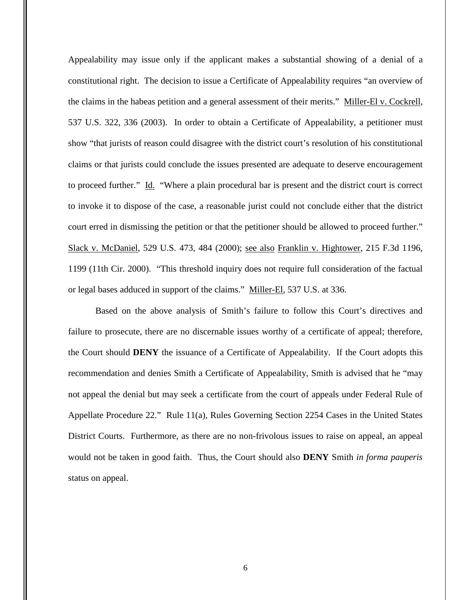Appealability may issue only if the applicant makes a substantial showing of a denial of a constitutional right. The decision to issue a Certificate of Appealability requires "an overview of the claims in the habeas petition and a general assessment of their merits." Miller-El v. Cockrell, 537 U.S. 322, 336 (2003). In order to obtain a Certificate of Appealability, a petitioner must show "that jurists of reason could disagree with the district court's resolution of his constitutional claims or that jurists could conclude the issues presented are adequate to deserve encouragement to proceed further." Id. "Where a plain procedural bar is present and the district court is correct to invoke it to dispose of the case, a reasonable jurist could not conclude either that the district court erred in dismissing the petition or that the petitioner should be allowed to proceed further." Slack v. McDaniel, 529 U.S. 473, 484 (2000); see also Franklin v. Hightower, 215 F.3d 1196, 1199 (11th Cir. 2000). "This threshold inquiry does not require full consideration of the factual or legal bases adduced in support of the claims." Miller-El, 537 U.S. at 336.

Based on the above analysis of Smith's failure to follow this Court's directives and failure to prosecute, there are no discernable issues worthy of a certificate of appeal; therefore, the Court should **DENY** the issuance of a Certificate of Appealability. If the Court adopts this recommendation and denies Smith a Certificate of Appealability, Smith is advised that he "may not appeal the denial but may seek a certificate from the court of appeals under Federal Rule of Appellate Procedure 22." Rule 11(a), Rules Governing Section 2254 Cases in the United States District Courts. Furthermore, as there are no non-frivolous issues to raise on appeal, an appeal would not be taken in good faith. Thus, the Court should also **DENY** Smith *in forma pauperis* status on appeal.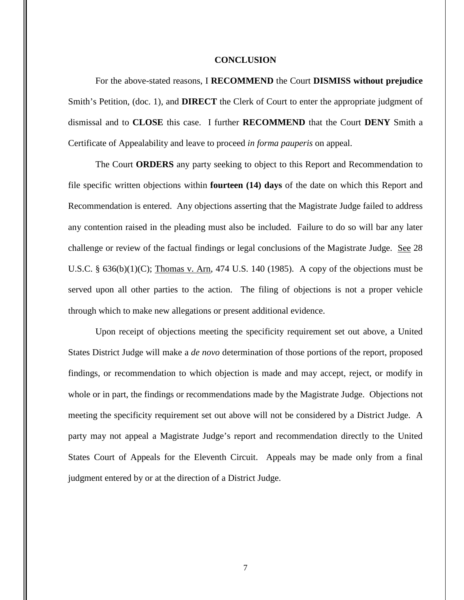### **CONCLUSION**

For the above-stated reasons, I **RECOMMEND** the Court **DISMISS without prejudice**  Smith's Petition, (doc. 1), and **DIRECT** the Clerk of Court to enter the appropriate judgment of dismissal and to **CLOSE** this case. I further **RECOMMEND** that the Court **DENY** Smith a Certificate of Appealability and leave to proceed *in forma pauperis* on appeal.

The Court **ORDERS** any party seeking to object to this Report and Recommendation to file specific written objections within **fourteen (14) days** of the date on which this Report and Recommendation is entered. Any objections asserting that the Magistrate Judge failed to address any contention raised in the pleading must also be included. Failure to do so will bar any later challenge or review of the factual findings or legal conclusions of the Magistrate Judge. See 28 U.S.C.  $\S$  636(b)(1)(C); Thomas v. Arn, 474 U.S. 140 (1985). A copy of the objections must be served upon all other parties to the action. The filing of objections is not a proper vehicle through which to make new allegations or present additional evidence.

Upon receipt of objections meeting the specificity requirement set out above, a United States District Judge will make a *de novo* determination of those portions of the report, proposed findings, or recommendation to which objection is made and may accept, reject, or modify in whole or in part, the findings or recommendations made by the Magistrate Judge. Objections not meeting the specificity requirement set out above will not be considered by a District Judge. A party may not appeal a Magistrate Judge's report and recommendation directly to the United States Court of Appeals for the Eleventh Circuit. Appeals may be made only from a final judgment entered by or at the direction of a District Judge.